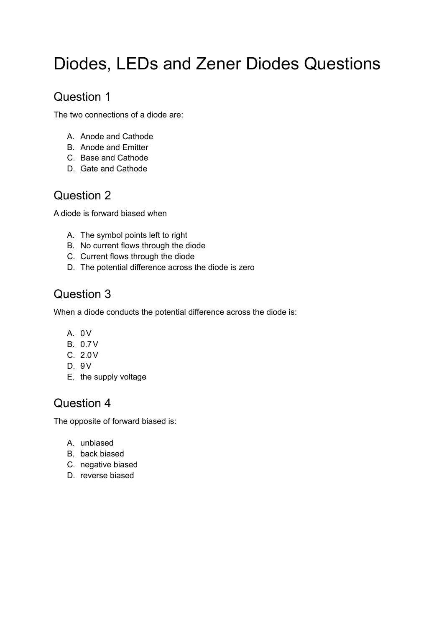# Diodes, LEDs and Zener Diodes Questions

### Question 1

The two connections of a diode are:

- A. Anode and Cathode
- B. Anode and Emitter
- C. Base and Cathode
- D. Gate and Cathode

# Question 2

A diode is forward biased when

- A. The symbol points left to right
- B. No current flows through the diode
- C. Current flows through the diode
- D. The potential difference across the diode is zero

# Question 3

When a diode conducts the potential difference across the diode is:

- A. 0V
- B. 0.7V
- C. 2.0V
- D. 9V
- E. the supply voltage

# Question 4

The opposite of forward biased is:

- A. unbiased
- B. back biased
- C. negative biased
- D. reverse biased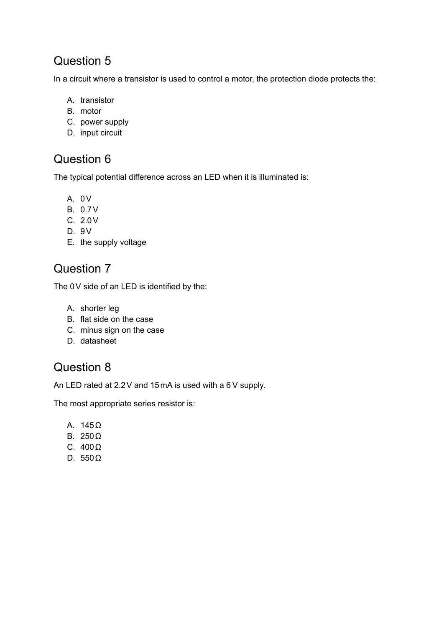### Question 5

In a circuit where a transistor is used to control a motor, the protection diode protects the:

- A. transistor
- B. motor
- C. power supply
- D. input circuit

#### Question 6

The typical potential difference across an LED when it is illuminated is:

- A. 0V
- B. 0.7V
- C. 2.0V
- D. 9V
- E. the supply voltage

## Question 7

The 0V side of an LED is identified by the:

- A. shorter leg
- B. flat side on the case
- C. minus sign on the case
- D. datasheet

#### Question 8

An LED rated at 2.2V and 15mA is used with a 6 V supply.

The most appropriate series resistor is:

- A. 145Ω
- B. 250Ω
- C. 400Ω
- D. 550Ω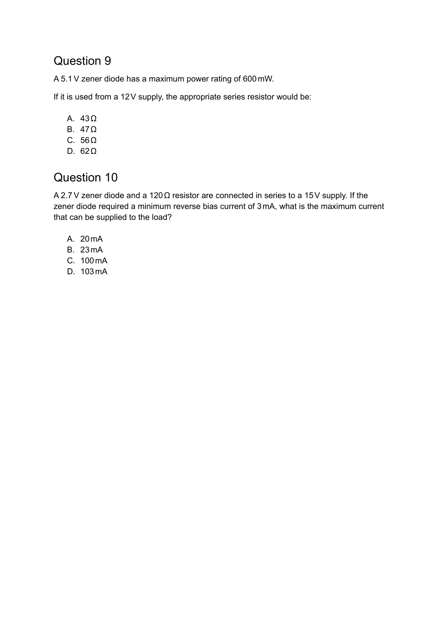#### Question 9

A 5.1 V zener diode has a maximum power rating of 600mW.

If it is used from a 12V supply, the appropriate series resistor would be:

- A. 43Ω
- B. 47Ω
- C. 56Ω
- D. 62Ω

### Question 10

A 2.7 V zener diode and a 120Ω resistor are connected in series to a 15V supply. If the zener diode required a minimum reverse bias current of 3mA, what is the maximum current that can be supplied to the load?

- A. 20mA
- B. 23mA
- C. 100mA
- D. 103mA